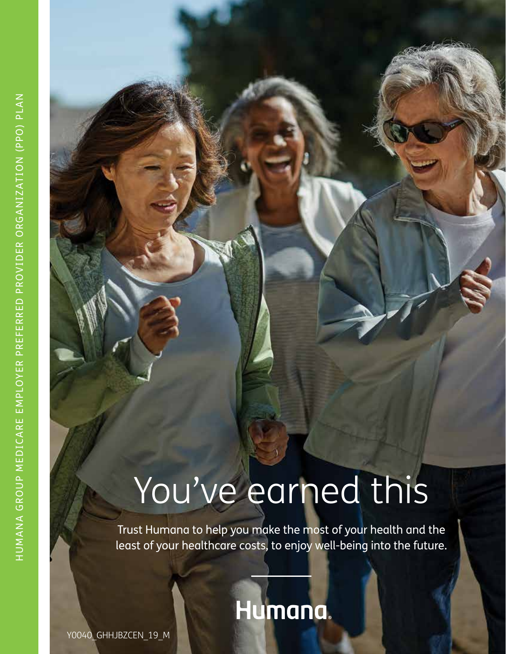## You've earned this

Trust Humana to help you make the most of your health and the least of your healthcare costs, to enjoy well-being into the future.

### Humana.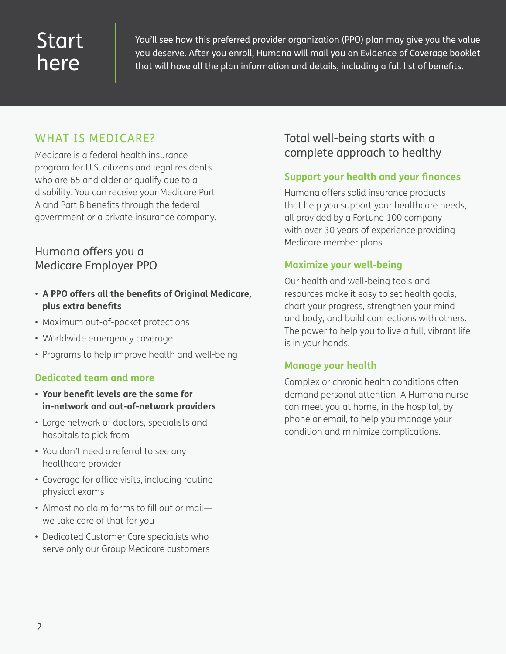### Start here

You'll see how this preferred provider organization (PPO) plan may give you the value you deserve. After you enroll, Humana will mail you an Evidence of Coverage booklet that will have all the plan information and details, including a full list of benefits.

### WHAT IS MEDICARE?

Medicare is a federal health insurance program for U.S. citizens and legal residents who are 65 and older or qualify due to a disability. You can receive your Medicare Part A and Part B benefits through the federal government or a private insurance company.

### Humana offers you a Medicare Employer PPO

- **A PPO offers all the benefits of Original Medicare, plus extra benefits**
- Maximum out-of-pocket protections
- Worldwide emergency coverage
- Programs to help improve health and well-being

### **Dedicated team and more**

- **Your benefit levels are the same for in-network and out-of-network providers**
- Large network of doctors, specialists and hospitals to pick from
- You don't need a referral to see any healthcare provider
- Coverage for office visits, including routine physical exams
- Almost no claim forms to fill out or mail we take care of that for you
- Dedicated Customer Care specialists who serve only our Group Medicare customers

### Total well-being starts with a complete approach to healthy

### **Support your health and your finances**

Humana offers solid insurance products that help you support your healthcare needs, all provided by a Fortune 100 company with over 30 years of experience providing Medicare member plans.

### **Maximize your well-being**

Our health and well-being tools and resources make it easy to set health goals, chart your progress, strengthen your mind and body, and build connections with others. The power to help you to live a full, vibrant life is in your hands.

### **Manage your health**

Complex or chronic health conditions often demand personal attention. A Humana nurse can meet you at home, in the hospital, by phone or email, to help you manage your condition and minimize complications.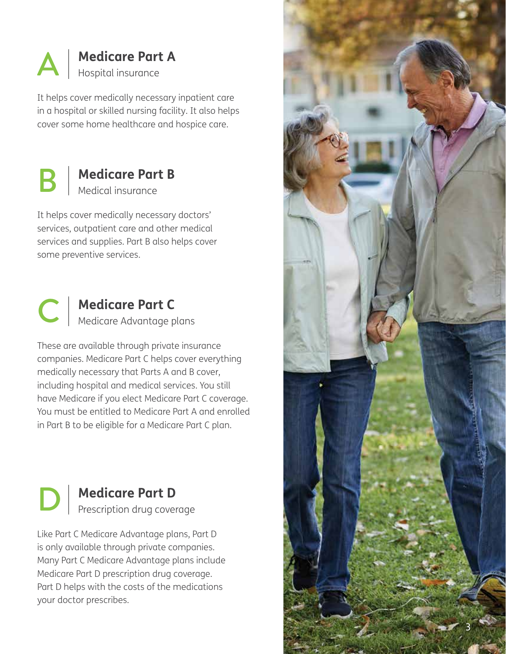

It helps cover medically necessary inpatient care in a hospital or skilled nursing facility. It also helps **COVERT AND Medicare Part A**<br>It helps cover medically necessary inpatient care.<br>In a hospital or skilled nursing facility. It also he<br>cover some home healthcare and hospice care.



### **Medicare Part B**  Medical insurance

It helps cover medically necessary doctors' services, outpatient care and other medical services and supplies. Part B also helps cover **B Medicare I**<br>It helps cover medically n<br>services, outpatient care a<br>services and supplies. Parisome preventive services.



These are available through private insurance companies. Medicare Part C helps cover everything medically necessary that Parts A and B cover, including hospital and medical services. You still have Medicare if you elect Medicare Part C coverage. You must be entitled to Medicare Part A and enrolled **Medicare Part C**<br>
Medicare Advantage plans<br>
These are available through private insurance<br>
companies. Medicare Part C helps cover everythin<br>
medically necessary that Parts A and B cover,<br>
including hospital and medical se



### **Medicare Part D**  Prescription drug coverage

Like Part C Medicare Advantage plans, Part D is only available through private companies. Many Part C Medicare Advantage plans include Medicare Part D prescription drug coverage. Part D helps with the costs of the medications **Medicare**<br> **Prescription**<br> **Like Part C Medicare Acts only available throug<br>
Many Part C Medicare A<br>
Medicare Part D prescription<br>
Part D helps with the conditional prescriptions.** 

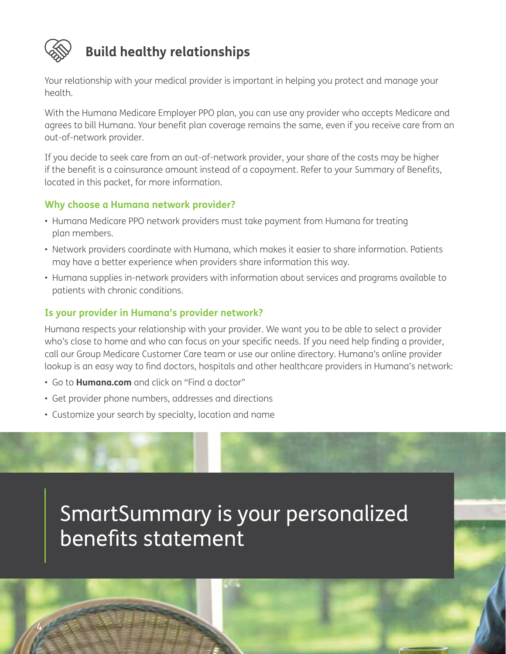

4

### **Build healthy relationships**

Your relationship with your medical provider is important in helping you protect and manage your health.

With the Humana Medicare Employer PPO plan, you can use any provider who accepts Medicare and agrees to bill Humana. Your benefit plan coverage remains the same, even if you receive care from an out-of-network provider.

If you decide to seek care from an out-of-network provider, your share of the costs may be higher if the benefit is a coinsurance amount instead of a copayment. Refer to your Summary of Benefits, located in this packet, for more information.

### **Why choose a Humana network provider?**

- Humana Medicare PPO network providers must take payment from Humana for treating plan members.
- Network providers coordinate with Humana, which makes it easier to share information. Patients may have a better experience when providers share information this way.
- Humana supplies in-network providers with information about services and programs available to patients with chronic conditions.

### **Is your provider in Humana's provider network?**

Humana respects your relationship with your provider. We want you to be able to select a provider who's close to home and who can focus on your specific needs. If you need help finding a provider, call our Group Medicare Customer Care team or use our online directory. Humana's online provider lookup is an easy way to find doctors, hospitals and other healthcare providers in Humana's network:

- Go to **Humana.com** and click on "Find a doctor"
- Get provider phone numbers, addresses and directions
- Customize your search by specialty, location and name

### SmartSummary is your personalized benefits statement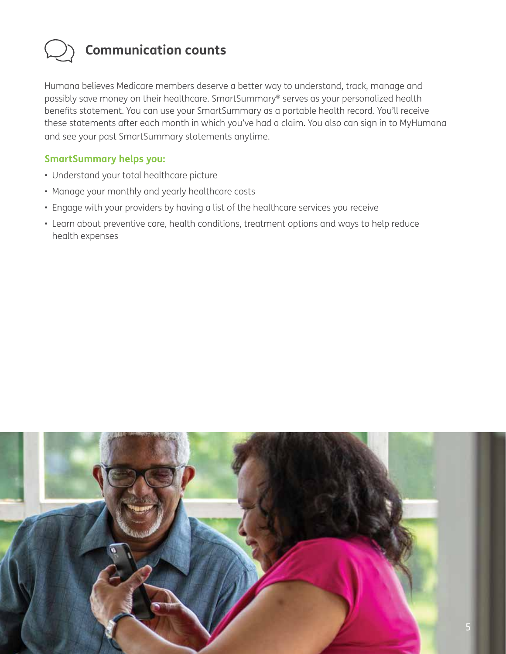

### **Communication counts**

Humana believes Medicare members deserve a better way to understand, track, manage and possibly save money on their healthcare. SmartSummary® serves as your personalized health benefits statement. You can use your SmartSummary as a portable health record. You'll receive these statements after each month in which you've had a claim. You also can sign in to MyHumana and see your past SmartSummary statements anytime.

### **SmartSummary helps you:**

- Understand your total healthcare picture
- Manage your monthly and yearly healthcare costs
- Engage with your providers by having a list of the healthcare services you receive
- Learn about preventive care, health conditions, treatment options and ways to help reduce health expenses

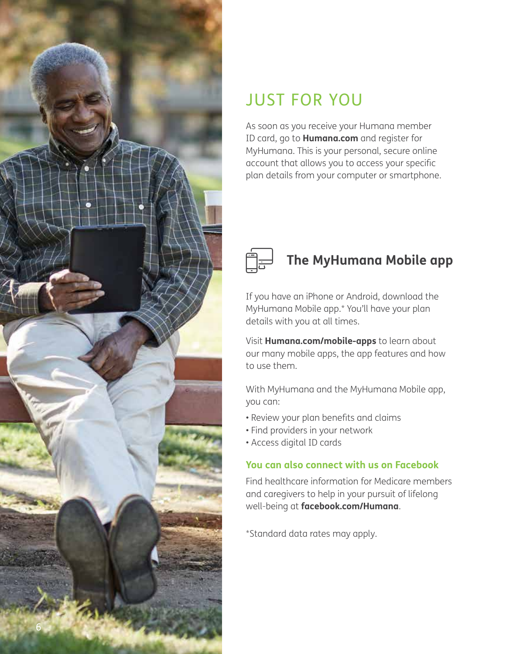

### JUST FOR YOU

As soon as you receive your Humana member ID card, go to **Humana.com** and register for MyHumana. This is your personal, secure online account that allows you to access your specific plan details from your computer or smartphone.



### **The MyHumana Mobile app**

If you have an iPhone or Android, download the MyHumana Mobile app.\* You'll have your plan details with you at all times.

Visit **Humana.com/mobile-apps** to learn about our many mobile apps, the app features and how to use them.

With MyHumana and the MyHumana Mobile app, you can:

- Review your plan benefits and claims
- Find providers in your network
- Access digital ID cards

### **You can also connect with us on Facebook**

Find healthcare information for Medicare members and caregivers to help in your pursuit of lifelong well-being at **facebook.com/Humana**.

\*Standard data rates may apply.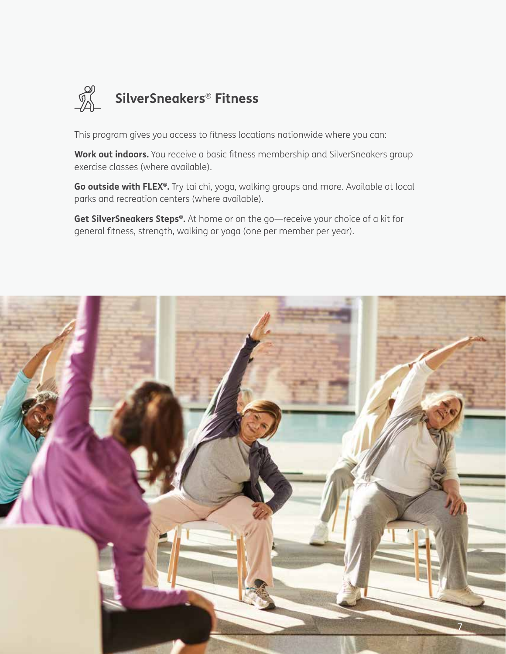

This program gives you access to fitness locations nationwide where you can:

**Work out indoors.** You receive a basic fitness membership and SilverSneakers group exercise classes (where available).

**Go outside with FLEX®.** Try tai chi, yoga, walking groups and more. Available at local parks and recreation centers (where available).

**Get SilverSneakers Steps®.** At home or on the go—receive your choice of a kit for general fitness, strength, walking or yoga (one per member per year).

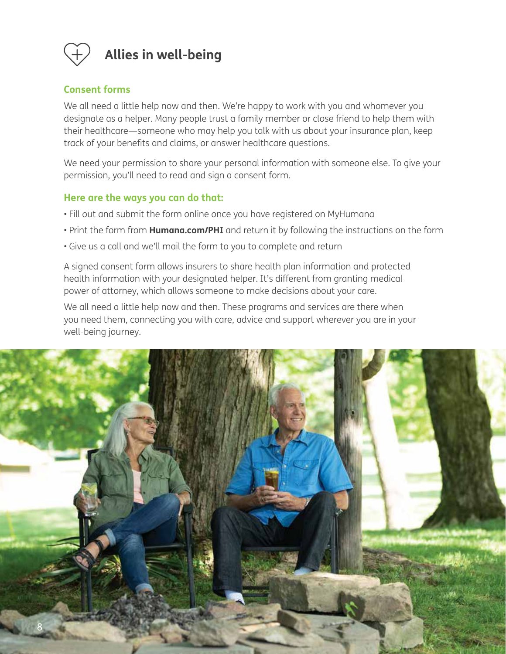

### **Allies in well-being**

### **Consent forms**

We all need a little help now and then. We're happy to work with you and whomever you designate as a helper. Many people trust a family member or close friend to help them with their healthcare—someone who may help you talk with us about your insurance plan, keep track of your benefits and claims, or answer healthcare questions.

We need your permission to share your personal information with someone else. To give your permission, you'll need to read and sign a consent form.

### **Here are the ways you can do that:**

- Fill out and submit the form online once you have registered on MyHumana
- Print the form from **Humana.com/PHI** and return it by following the instructions on the form
- Give us a call and we'll mail the form to you to complete and return

A signed consent form allows insurers to share health plan information and protected health information with your designated helper. It's different from granting medical power of attorney, which allows someone to make decisions about your care.

We all need a little help now and then. These programs and services are there when you need them, connecting you with care, advice and support wherever you are in your well-being journey.

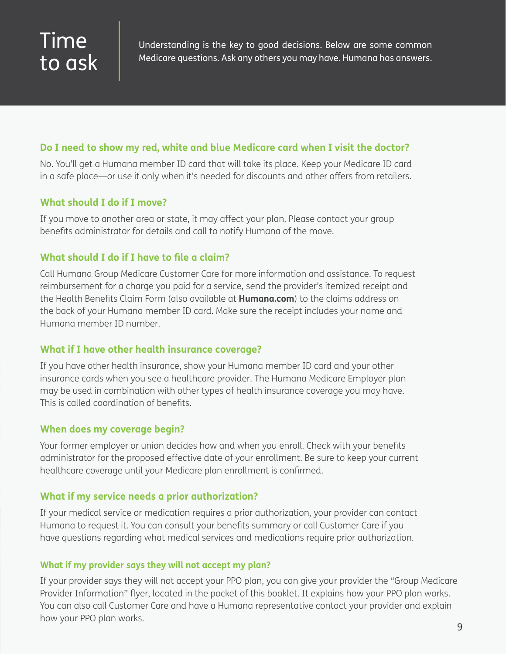### Time to ask

Understanding is the key to good decisions. Below are some common Medicare questions. Ask any others you may have. Humana has answers.

### **Do I need to show my red, white and blue Medicare card when I visit the doctor?**

No. You'll get a Humana member ID card that will take its place. Keep your Medicare ID card in a safe place—or use it only when it's needed for discounts and other offers from retailers.

### **What should I do if I move?**

If you move to another area or state, it may affect your plan. Please contact your group benefits administrator for details and call to notify Humana of the move.

### **What should I do if I have to file a claim?**

Call Humana Group Medicare Customer Care for more information and assistance. To request reimbursement for a charge you paid for a service, send the provider's itemized receipt and the Health Benefits Claim Form (also available at **Humana.com**) to the claims address on the back of your Humana member ID card. Make sure the receipt includes your name and Humana member ID number.

### **What if I have other health insurance coverage?**

If you have other health insurance, show your Humana member ID card and your other insurance cards when you see a healthcare provider. The Humana Medicare Employer plan may be used in combination with other types of health insurance coverage you may have. This is called coordination of benefits.

### **When does my coverage begin?**

Your former employer or union decides how and when you enroll. Check with your benefits administrator for the proposed effective date of your enrollment. Be sure to keep your current healthcare coverage until your Medicare plan enrollment is confirmed.

### **What if my service needs a prior authorization?**

If your medical service or medication requires a prior authorization, your provider can contact Humana to request it. You can consult your benefits summary or call Customer Care if you have questions regarding what medical services and medications require prior authorization.

### **What if my provider says they will not accept my plan?**

If your provider says they will not accept your PPO plan, you can give your provider the "Group Medicare Provider Information" flyer, located in the pocket of this booklet. It explains how your PPO plan works. You can also call Customer Care and have a Humana representative contact your provider and explain how your PPO plan works.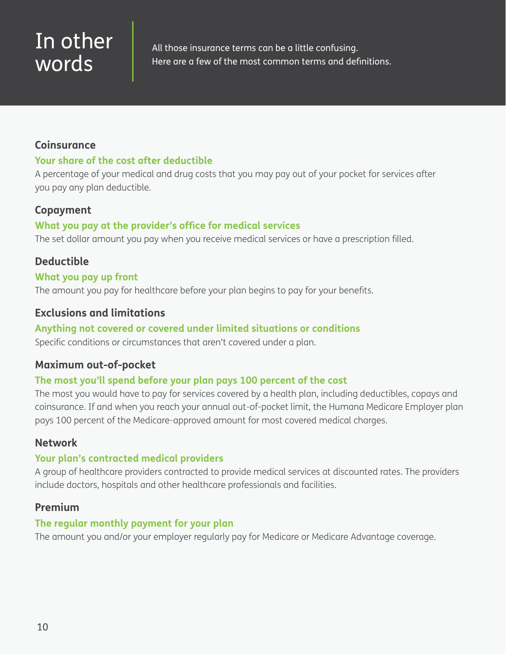### In other words

All those insurance terms can be a little confusing. Here are a few of the most common terms and definitions.

### **Coinsurance**

### **Your share of the cost after deductible**

A percentage of your medical and drug costs that you may pay out of your pocket for services after you pay any plan deductible.

### **Copayment**

### **What you pay at the provider's office for medical services**

The set dollar amount you pay when you receive medical services or have a prescription filled.

### **Deductible**

### **What you pay up front**

The amount you pay for healthcare before your plan begins to pay for your benefits.

### **Exclusions and limitations**

### **Anything not covered or covered under limited situations or conditions**

Specific conditions or circumstances that aren't covered under a plan.

### **Maximum out-of-pocket**

### **The most you'll spend before your plan pays 100 percent of the cost**

The most you would have to pay for services covered by a health plan, including deductibles, copays and coinsurance. If and when you reach your annual out-of-pocket limit, the Humana Medicare Employer plan pays 100 percent of the Medicare-approved amount for most covered medical charges.

### **Network**

### **Your plan's contracted medical providers**

A group of healthcare providers contracted to provide medical services at discounted rates. The providers include doctors, hospitals and other healthcare professionals and facilities.

### **Premium**

### **The regular monthly payment for your plan**

The amount you and/or your employer regularly pay for Medicare or Medicare Advantage coverage.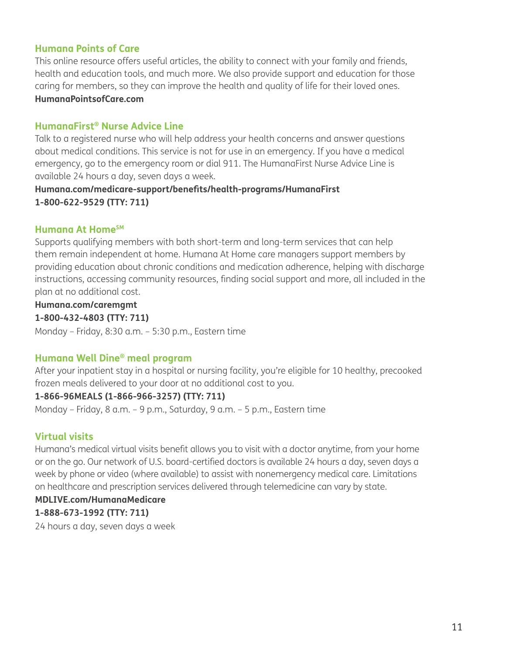### **Humana Points of Care**

This online resource offers useful articles, the ability to connect with your family and friends, health and education tools, and much more. We also provide support and education for those caring for members, so they can improve the health and quality of life for their loved ones.

### **HumanaPointsofCare.com**

### **HumanaFirst® Nurse Advice Line**

Talk to a registered nurse who will help address your health concerns and answer questions about medical conditions. This service is not for use in an emergency. If you have a medical emergency, go to the emergency room or dial 911. The HumanaFirst Nurse Advice Line is available 24 hours a day, seven days a week.

### **Humana.com/medicare-support/benefits/health-programs/HumanaFirst 1-800-622-9529 (TTY: 711)**

### **Humana At HomeSM**

Supports qualifying members with both short-term and long-term services that can help them remain independent at home. Humana At Home care managers support members by providing education about chronic conditions and medication adherence, helping with discharge instructions, accessing community resources, finding social support and more, all included in the plan at no additional cost.

### **Humana.com/caremgmt**

### **1-800-432-4803 (TTY: 711)**

Monday – Friday, 8:30 a.m. – 5:30 p.m., Eastern time

### **Humana Well Dine® meal program**

After your inpatient stay in a hospital or nursing facility, you're eligible for 10 healthy, precooked frozen meals delivered to your door at no additional cost to you.

### **1-866-96MEALS (1-866-966-3257) (TTY: 711)**

Monday – Friday, 8 a.m. – 9 p.m., Saturday, 9 a.m. – 5 p.m., Eastern time

### **Virtual visits**

Humana's medical virtual visits benefit allows you to visit with a doctor anytime, from your home or on the go. Our network of U.S. board-certified doctors is available 24 hours a day, seven days a week by phone or video (where available) to assist with nonemergency medical care. Limitations on healthcare and prescription services delivered through telemedicine can vary by state.

### **MDLIVE.com/HumanaMedicare**

### **1-888-673-1992 (TTY: 711)**

24 hours a day, seven days a week